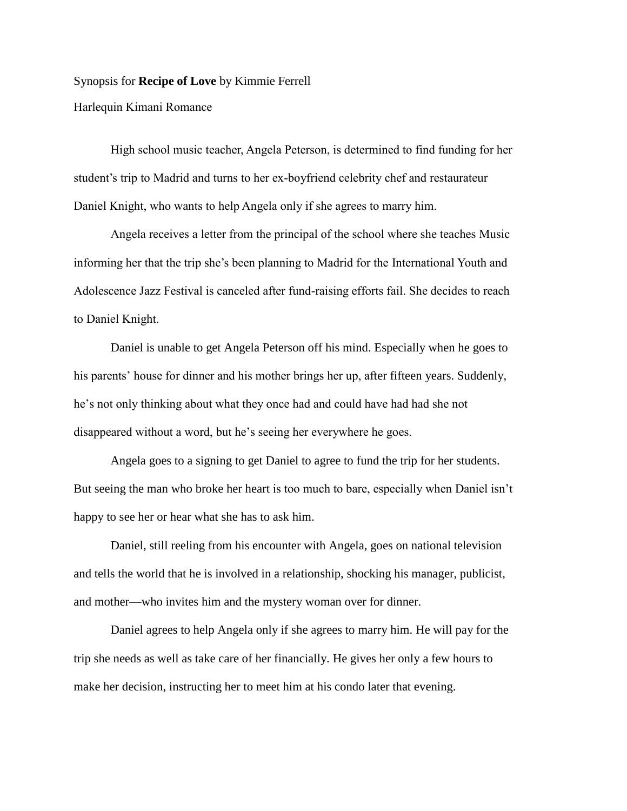## Synopsis for **Recipe of Love** by Kimmie Ferrell

Harlequin Kimani Romance

High school music teacher, Angela Peterson, is determined to find funding for her student's trip to Madrid and turns to her ex-boyfriend celebrity chef and restaurateur Daniel Knight, who wants to help Angela only if she agrees to marry him.

Angela receives a letter from the principal of the school where she teaches Music informing her that the trip she's been planning to Madrid for the International Youth and Adolescence Jazz Festival is canceled after fund-raising efforts fail. She decides to reach to Daniel Knight.

Daniel is unable to get Angela Peterson off his mind. Especially when he goes to his parents' house for dinner and his mother brings her up, after fifteen years. Suddenly, he's not only thinking about what they once had and could have had had she not disappeared without a word, but he's seeing her everywhere he goes.

Angela goes to a signing to get Daniel to agree to fund the trip for her students. But seeing the man who broke her heart is too much to bare, especially when Daniel isn't happy to see her or hear what she has to ask him.

Daniel, still reeling from his encounter with Angela, goes on national television and tells the world that he is involved in a relationship, shocking his manager, publicist, and mother—who invites him and the mystery woman over for dinner.

Daniel agrees to help Angela only if she agrees to marry him. He will pay for the trip she needs as well as take care of her financially. He gives her only a few hours to make her decision, instructing her to meet him at his condo later that evening.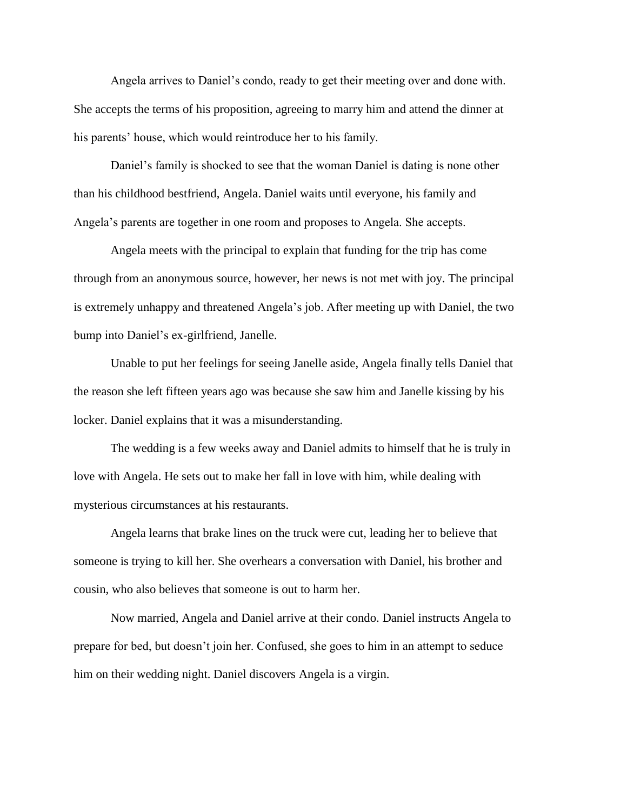Angela arrives to Daniel's condo, ready to get their meeting over and done with. She accepts the terms of his proposition, agreeing to marry him and attend the dinner at his parents' house, which would reintroduce her to his family.

Daniel's family is shocked to see that the woman Daniel is dating is none other than his childhood bestfriend, Angela. Daniel waits until everyone, his family and Angela's parents are together in one room and proposes to Angela. She accepts.

Angela meets with the principal to explain that funding for the trip has come through from an anonymous source, however, her news is not met with joy. The principal is extremely unhappy and threatened Angela's job. After meeting up with Daniel, the two bump into Daniel's ex-girlfriend, Janelle.

Unable to put her feelings for seeing Janelle aside, Angela finally tells Daniel that the reason she left fifteen years ago was because she saw him and Janelle kissing by his locker. Daniel explains that it was a misunderstanding.

The wedding is a few weeks away and Daniel admits to himself that he is truly in love with Angela. He sets out to make her fall in love with him, while dealing with mysterious circumstances at his restaurants.

Angela learns that brake lines on the truck were cut, leading her to believe that someone is trying to kill her. She overhears a conversation with Daniel, his brother and cousin, who also believes that someone is out to harm her.

Now married, Angela and Daniel arrive at their condo. Daniel instructs Angela to prepare for bed, but doesn't join her. Confused, she goes to him in an attempt to seduce him on their wedding night. Daniel discovers Angela is a virgin.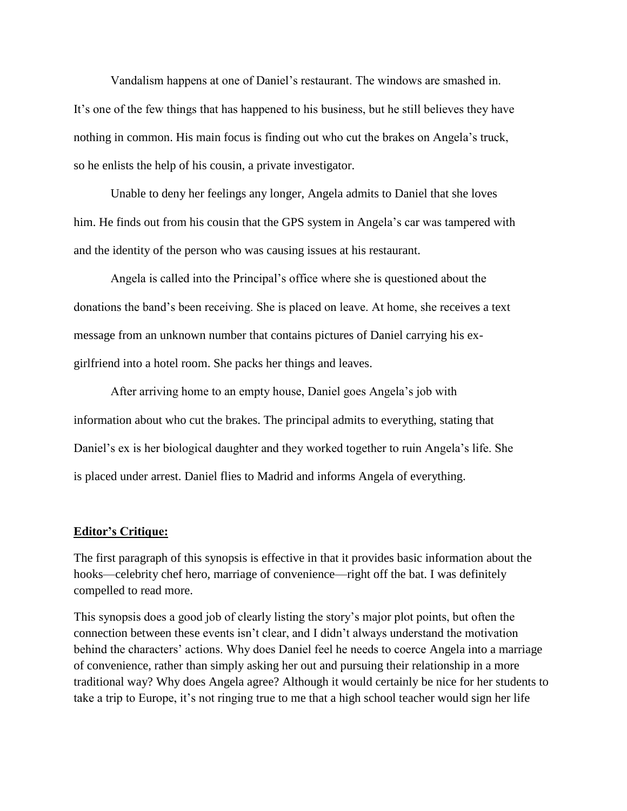Vandalism happens at one of Daniel's restaurant. The windows are smashed in. It's one of the few things that has happened to his business, but he still believes they have nothing in common. His main focus is finding out who cut the brakes on Angela's truck, so he enlists the help of his cousin, a private investigator.

Unable to deny her feelings any longer, Angela admits to Daniel that she loves him. He finds out from his cousin that the GPS system in Angela's car was tampered with and the identity of the person who was causing issues at his restaurant.

Angela is called into the Principal's office where she is questioned about the donations the band's been receiving. She is placed on leave. At home, she receives a text message from an unknown number that contains pictures of Daniel carrying his exgirlfriend into a hotel room. She packs her things and leaves.

After arriving home to an empty house, Daniel goes Angela's job with information about who cut the brakes. The principal admits to everything, stating that Daniel's ex is her biological daughter and they worked together to ruin Angela's life. She is placed under arrest. Daniel flies to Madrid and informs Angela of everything.

## **Editor's Critique:**

The first paragraph of this synopsis is effective in that it provides basic information about the hooks—celebrity chef hero, marriage of convenience—right off the bat. I was definitely compelled to read more.

This synopsis does a good job of clearly listing the story's major plot points, but often the connection between these events isn't clear, and I didn't always understand the motivation behind the characters' actions. Why does Daniel feel he needs to coerce Angela into a marriage of convenience, rather than simply asking her out and pursuing their relationship in a more traditional way? Why does Angela agree? Although it would certainly be nice for her students to take a trip to Europe, it's not ringing true to me that a high school teacher would sign her life